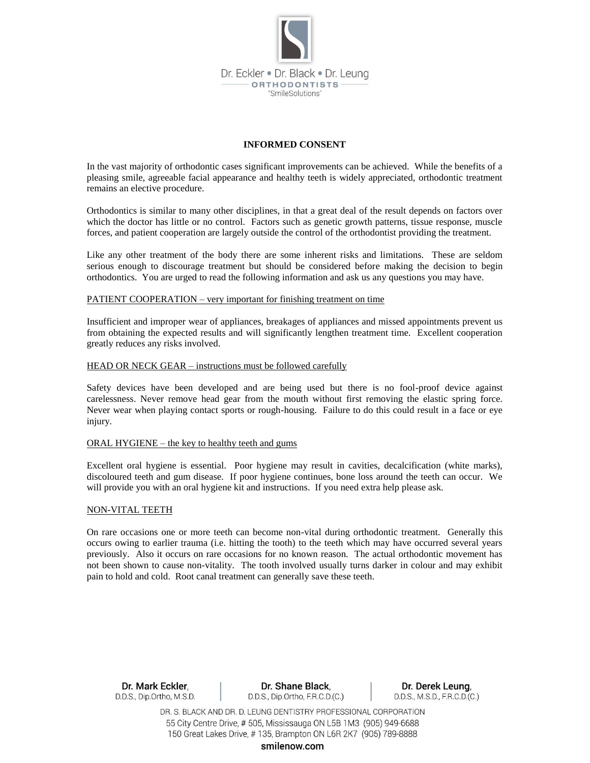

# **INFORMED CONSENT**

In the vast majority of orthodontic cases significant improvements can be achieved. While the benefits of a pleasing smile, agreeable facial appearance and healthy teeth is widely appreciated, orthodontic treatment remains an elective procedure.

Orthodontics is similar to many other disciplines, in that a great deal of the result depends on factors over which the doctor has little or no control. Factors such as genetic growth patterns, tissue response, muscle forces, and patient cooperation are largely outside the control of the orthodontist providing the treatment.

Like any other treatment of the body there are some inherent risks and limitations. These are seldom serious enough to discourage treatment but should be considered before making the decision to begin orthodontics. You are urged to read the following information and ask us any questions you may have.

# PATIENT COOPERATION – very important for finishing treatment on time

Insufficient and improper wear of appliances, breakages of appliances and missed appointments prevent us from obtaining the expected results and will significantly lengthen treatment time. Excellent cooperation greatly reduces any risks involved.

#### HEAD OR NECK GEAR – instructions must be followed carefully

Safety devices have been developed and are being used but there is no fool-proof device against carelessness. Never remove head gear from the mouth without first removing the elastic spring force. Never wear when playing contact sports or rough-housing. Failure to do this could result in a face or eye injury.

#### ORAL HYGIENE – the key to healthy teeth and gums

Excellent oral hygiene is essential. Poor hygiene may result in cavities, decalcification (white marks), discoloured teeth and gum disease. If poor hygiene continues, bone loss around the teeth can occur. We will provide you with an oral hygiene kit and instructions. If you need extra help please ask.

# NON-VITAL TEETH

On rare occasions one or more teeth can become non-vital during orthodontic treatment. Generally this occurs owing to earlier trauma (i.e. hitting the tooth) to the teeth which may have occurred several years previously. Also it occurs on rare occasions for no known reason. The actual orthodontic movement has not been shown to cause non-vitality. The tooth involved usually turns darker in colour and may exhibit pain to hold and cold. Root canal treatment can generally save these teeth.

Dr. Mark Eckler, D.D.S., Dip.Ortho, M.S.D.

Dr. Shane Black, D.D.S., Dip.Ortho, F.R.C.D.(C.)

Dr. Derek Leung, D.D.S., M.S.D., F.R.C.D.(C.)

DR. S. BLACK AND DR. D. LEUNG DENTISTRY PROFESSIONAL CORPORATION 55 City Centre Drive, #505, Mississauga ON L5B 1M3 (905) 949-6688 150 Great Lakes Drive, #135, Brampton ON L6R 2K7 (905) 789-8888

smilenow.com